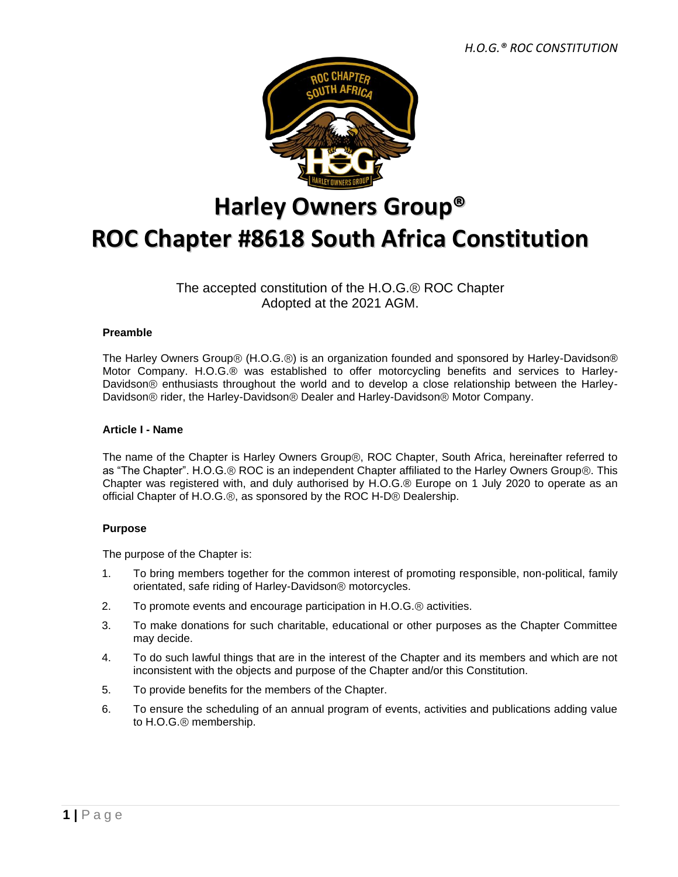

# **Harley Owners Group® ROC Chapter #8618 South Africa Constitution**

# The accepted constitution of the H.O.G.® ROC Chapter Adopted at the 2021 AGM.

# **Preamble**

The Harley Owners Group® (H.O.G.®) is an organization founded and sponsored by Harley-Davidson® Motor Company. H.O.G.® was established to offer motorcycling benefits and services to Harley-Davidson® enthusiasts throughout the world and to develop a close relationship between the Harley-Davidson® rider, the Harley-Davidson® Dealer and Harley-Davidson® Motor Company.

# **Article I - Name**

The name of the Chapter is Harley Owners Group®, ROC Chapter, South Africa, hereinafter referred to as "The Chapter". H.O.G.® ROC is an independent Chapter affiliated to the Harley Owners Group®. This Chapter was registered with, and duly authorised by H.O.G.® Europe on 1 July 2020 to operate as an official Chapter of H.O.G.®, as sponsored by the ROC H-D® Dealership.

# **Purpose**

The purpose of the Chapter is:

- 1. To bring members together for the common interest of promoting responsible, non-political, family orientated, safe riding of Harley-Davidson® motorcycles.
- 2. To promote events and encourage participation in H.O.G.® activities.
- 3. To make donations for such charitable, educational or other purposes as the Chapter Committee may decide.
- 4. To do such lawful things that are in the interest of the Chapter and its members and which are not inconsistent with the objects and purpose of the Chapter and/or this Constitution.
- 5. To provide benefits for the members of the Chapter.
- 6. To ensure the scheduling of an annual program of events, activities and publications adding value to H.O.G.® membership.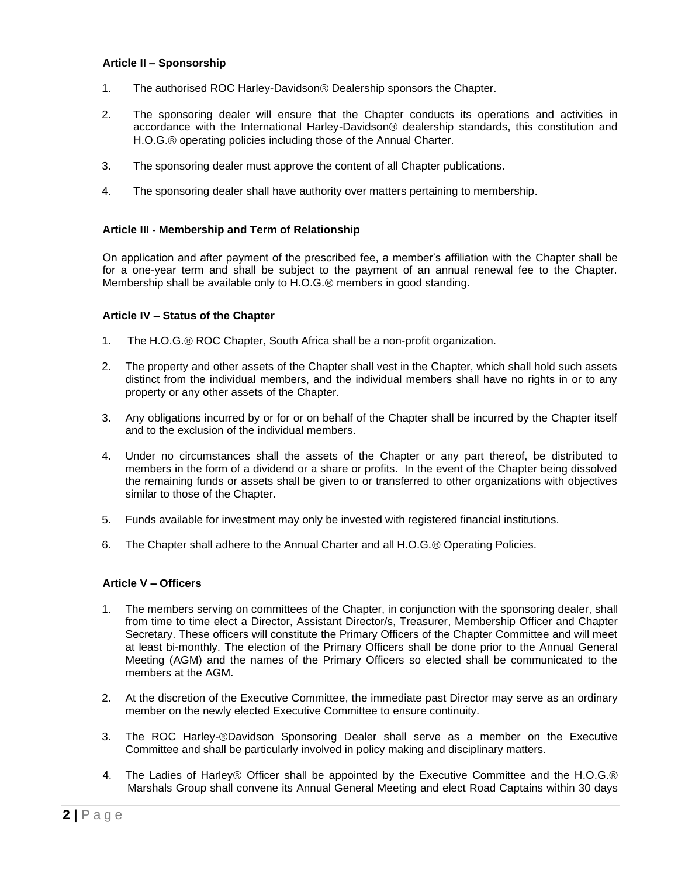#### **Article II – Sponsorship**

- 1. The authorised ROC Harley-Davidson® Dealership sponsors the Chapter.
- 2. The sponsoring dealer will ensure that the Chapter conducts its operations and activities in accordance with the International Harley-Davidson® dealership standards, this constitution and H.O.G.® operating policies including those of the Annual Charter.
- 3. The sponsoring dealer must approve the content of all Chapter publications.
- 4. The sponsoring dealer shall have authority over matters pertaining to membership.

#### **Article III - Membership and Term of Relationship**

On application and after payment of the prescribed fee, a member's affiliation with the Chapter shall be for a one-year term and shall be subject to the payment of an annual renewal fee to the Chapter. Membership shall be available only to H.O.G.® members in good standing.

#### **Article IV – Status of the Chapter**

- 1. The H.O.G.® ROC Chapter, South Africa shall be a non-profit organization.
- 2. The property and other assets of the Chapter shall vest in the Chapter, which shall hold such assets distinct from the individual members, and the individual members shall have no rights in or to any property or any other assets of the Chapter.
- 3. Any obligations incurred by or for or on behalf of the Chapter shall be incurred by the Chapter itself and to the exclusion of the individual members.
- 4. Under no circumstances shall the assets of the Chapter or any part thereof, be distributed to members in the form of a dividend or a share or profits. In the event of the Chapter being dissolved the remaining funds or assets shall be given to or transferred to other organizations with objectives similar to those of the Chapter.
- 5. Funds available for investment may only be invested with registered financial institutions.
- 6. The Chapter shall adhere to the Annual Charter and all H.O.G.® Operating Policies.

#### **Article V – Officers**

- 1. The members serving on committees of the Chapter, in conjunction with the sponsoring dealer, shall from time to time elect a Director, Assistant Director/s, Treasurer, Membership Officer and Chapter Secretary. These officers will constitute the Primary Officers of the Chapter Committee and will meet at least bi-monthly. The election of the Primary Officers shall be done prior to the Annual General Meeting (AGM) and the names of the Primary Officers so elected shall be communicated to the members at the AGM.
- 2. At the discretion of the Executive Committee, the immediate past Director may serve as an ordinary member on the newly elected Executive Committee to ensure continuity.
- 3. The ROC Harley-®Davidson Sponsoring Dealer shall serve as a member on the Executive Committee and shall be particularly involved in policy making and disciplinary matters.
- 4. The Ladies of Harley® Officer shall be appointed by the Executive Committee and the H.O.G.® Marshals Group shall convene its Annual General Meeting and elect Road Captains within 30 days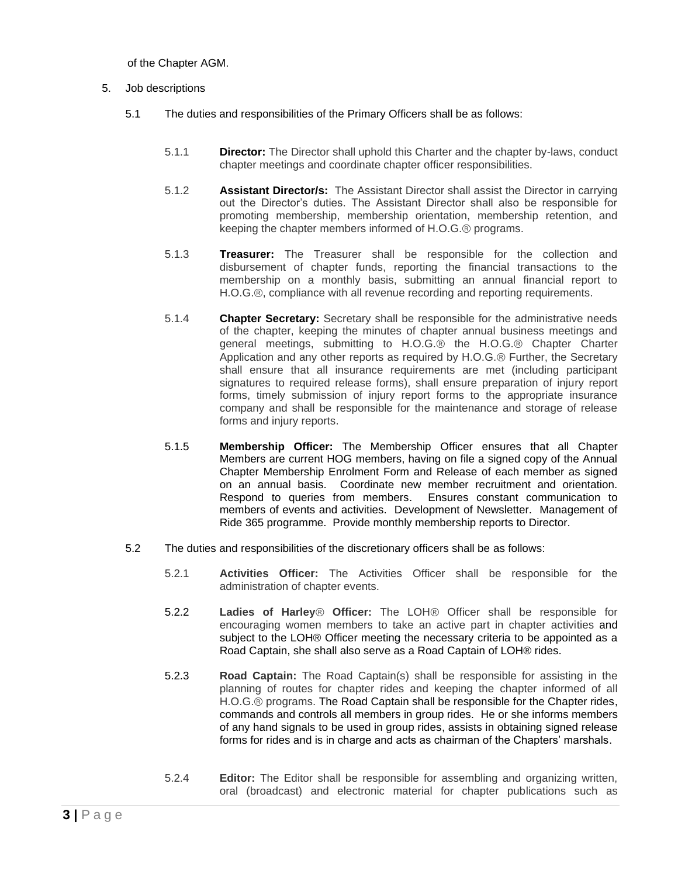of the Chapter AGM.

- 5. Job descriptions
	- 5.1 The duties and responsibilities of the Primary Officers shall be as follows:
		- 5.1.1 **Director:** The Director shall uphold this Charter and the chapter by-laws, conduct chapter meetings and coordinate chapter officer responsibilities.
		- 5.1.2 **Assistant Director/s:** The Assistant Director shall assist the Director in carrying out the Director's duties. The Assistant Director shall also be responsible for promoting membership, membership orientation, membership retention, and keeping the chapter members informed of H.O.G.® programs.
		- 5.1.3 **Treasurer:** The Treasurer shall be responsible for the collection and disbursement of chapter funds, reporting the financial transactions to the membership on a monthly basis, submitting an annual financial report to H.O.G.®, compliance with all revenue recording and reporting requirements.
		- 5.1.4 **Chapter Secretary:** Secretary shall be responsible for the administrative needs of the chapter, keeping the minutes of chapter annual business meetings and general meetings, submitting to H.O.G.® the H.O.G.® Chapter Charter Application and any other reports as required by H.O.G.® Further, the Secretary shall ensure that all insurance requirements are met (including participant signatures to required release forms), shall ensure preparation of injury report forms, timely submission of injury report forms to the appropriate insurance company and shall be responsible for the maintenance and storage of release forms and injury reports.
		- 5.1.5 **Membership Officer:** The Membership Officer ensures that all Chapter Members are current HOG members, having on file a signed copy of the Annual Chapter Membership Enrolment Form and Release of each member as signed on an annual basis. Coordinate new member recruitment and orientation. Respond to queries from members. Ensures constant communication to members of events and activities. Development of Newsletter. Management of Ride 365 programme. Provide monthly membership reports to Director.
	- 5.2 The duties and responsibilities of the discretionary officers shall be as follows:
		- 5.2.1 **Activities Officer:** The Activities Officer shall be responsible for the administration of chapter events.
		- 5.2.2 **Ladies of Harley**® **Officer:** The LOH® Officer shall be responsible for encouraging women members to take an active part in chapter activities and subject to the LOH® Officer meeting the necessary criteria to be appointed as a Road Captain, she shall also serve as a Road Captain of LOH® rides.
		- 5.2.3 **Road Captain:** The Road Captain(s) shall be responsible for assisting in the planning of routes for chapter rides and keeping the chapter informed of all H.O.G.® programs. The Road Captain shall be responsible for the Chapter rides, commands and controls all members in group rides. He or she informs members of any hand signals to be used in group rides, assists in obtaining signed release forms for rides and is in charge and acts as chairman of the Chapters' marshals.
		- 5.2.4 **Editor:** The Editor shall be responsible for assembling and organizing written, oral (broadcast) and electronic material for chapter publications such as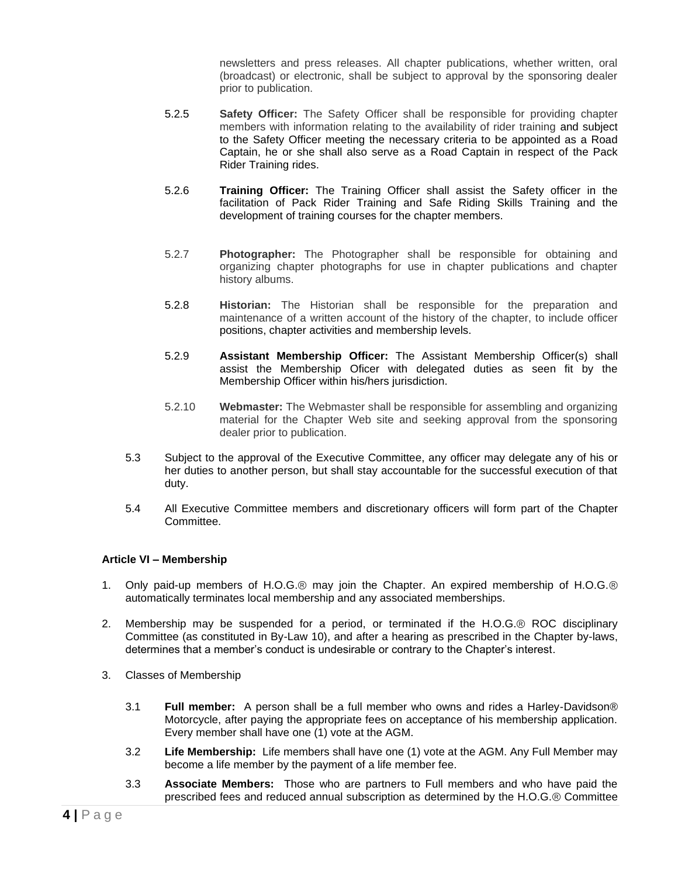newsletters and press releases. All chapter publications, whether written, oral (broadcast) or electronic, shall be subject to approval by the sponsoring dealer prior to publication.

- 5.2.5 **Safety Officer:** The Safety Officer shall be responsible for providing chapter members with information relating to the availability of rider training and subject to the Safety Officer meeting the necessary criteria to be appointed as a Road Captain, he or she shall also serve as a Road Captain in respect of the Pack Rider Training rides.
- 5.2.6 **Training Officer:** The Training Officer shall assist the Safety officer in the facilitation of Pack Rider Training and Safe Riding Skills Training and the development of training courses for the chapter members.
- 5.2.7 **Photographer:** The Photographer shall be responsible for obtaining and organizing chapter photographs for use in chapter publications and chapter history albums.
- 5.2.8 **Historian:** The Historian shall be responsible for the preparation and maintenance of a written account of the history of the chapter, to include officer positions, chapter activities and membership levels.
- 5.2.9 **Assistant Membership Officer:** The Assistant Membership Officer(s) shall assist the Membership Oficer with delegated duties as seen fit by the Membership Officer within his/hers jurisdiction.
- 5.2.10 **Webmaster:** The Webmaster shall be responsible for assembling and organizing material for the Chapter Web site and seeking approval from the sponsoring dealer prior to publication.
- 5.3 Subject to the approval of the Executive Committee, any officer may delegate any of his or her duties to another person, but shall stay accountable for the successful execution of that duty.
- 5.4 All Executive Committee members and discretionary officers will form part of the Chapter Committee.

# **Article VI – Membership**

- 1. Only paid-up members of H.O.G.® may join the Chapter. An expired membership of H.O.G.® automatically terminates local membership and any associated memberships.
- 2. Membership may be suspended for a period, or terminated if the H.O.G.® ROC disciplinary Committee (as constituted in By-Law 10), and after a hearing as prescribed in the Chapter by-laws, determines that a member's conduct is undesirable or contrary to the Chapter's interest.
- 3. Classes of Membership
	- 3.1 **Full member:** A person shall be a full member who owns and rides a Harley-Davidson® Motorcycle, after paying the appropriate fees on acceptance of his membership application. Every member shall have one (1) vote at the AGM.
	- 3.2 **Life Membership:** Life members shall have one (1) vote at the AGM. Any Full Member may become a life member by the payment of a life member fee.
	- 3.3 **Associate Members:** Those who are partners to Full members and who have paid the prescribed fees and reduced annual subscription as determined by the H.O.G.® Committee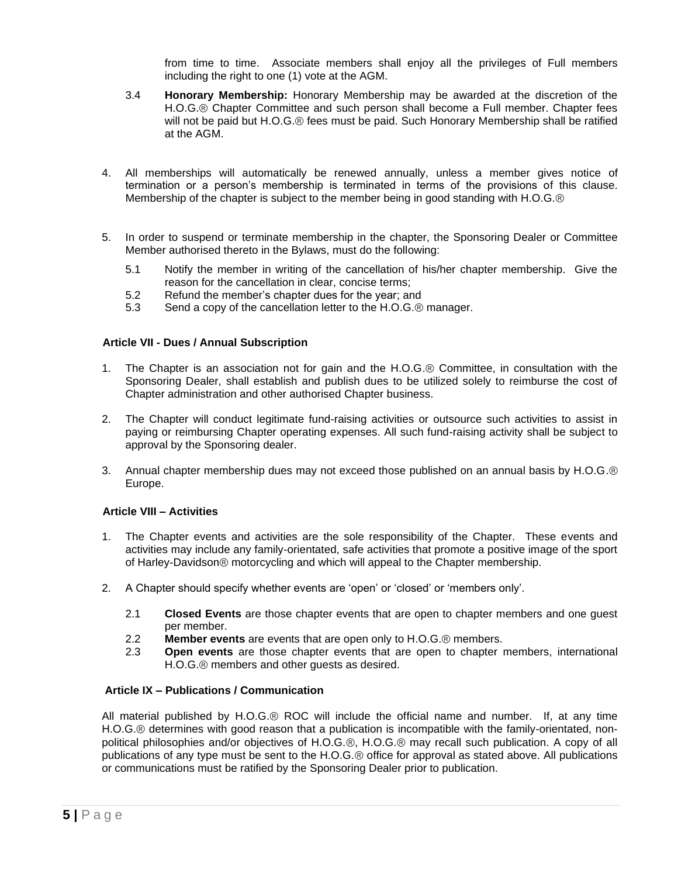from time to time. Associate members shall enjoy all the privileges of Full members including the right to one (1) vote at the AGM.

- 3.4 **Honorary Membership:** Honorary Membership may be awarded at the discretion of the H.O.G.® Chapter Committee and such person shall become a Full member. Chapter fees will not be paid but H.O.G.® fees must be paid. Such Honorary Membership shall be ratified at the AGM.
- 4. All memberships will automatically be renewed annually, unless a member gives notice of termination or a person's membership is terminated in terms of the provisions of this clause. Membership of the chapter is subject to the member being in good standing with H.O.G.®
- 5. In order to suspend or terminate membership in the chapter, the Sponsoring Dealer or Committee Member authorised thereto in the Bylaws, must do the following:
	- 5.1 Notify the member in writing of the cancellation of his/her chapter membership. Give the reason for the cancellation in clear, concise terms;
	- 5.2 Refund the member's chapter dues for the year; and
	- 5.3 Send a copy of the cancellation letter to the H.O.G.® manager.

# **Article VII - Dues / Annual Subscription**

- 1. The Chapter is an association not for gain and the H.O.G.® Committee, in consultation with the Sponsoring Dealer, shall establish and publish dues to be utilized solely to reimburse the cost of Chapter administration and other authorised Chapter business.
- 2. The Chapter will conduct legitimate fund-raising activities or outsource such activities to assist in paying or reimbursing Chapter operating expenses. All such fund-raising activity shall be subject to approval by the Sponsoring dealer.
- 3. Annual chapter membership dues may not exceed those published on an annual basis by H.O.G.® Europe.

# **Article VIII – Activities**

- 1. The Chapter events and activities are the sole responsibility of the Chapter. These events and activities may include any family-orientated, safe activities that promote a positive image of the sport of Harley-Davidson® motorcycling and which will appeal to the Chapter membership.
- 2. A Chapter should specify whether events are 'open' or 'closed' or 'members only'.
	- 2.1 **Closed Events** are those chapter events that are open to chapter members and one guest per member.
	- 2.2 **Member events** are events that are open only to H.O.G.® members.
	- 2.3 **Open events** are those chapter events that are open to chapter members, international H.O.G.® members and other guests as desired.

# **Article IX – Publications / Communication**

All material published by H.O.G.® ROC will include the official name and number. If, at any time H.O.G.® determines with good reason that a publication is incompatible with the family-orientated, nonpolitical philosophies and/or objectives of H.O.G.®, H.O.G.® may recall such publication. A copy of all publications of any type must be sent to the H.O.G.® office for approval as stated above. All publications or communications must be ratified by the Sponsoring Dealer prior to publication.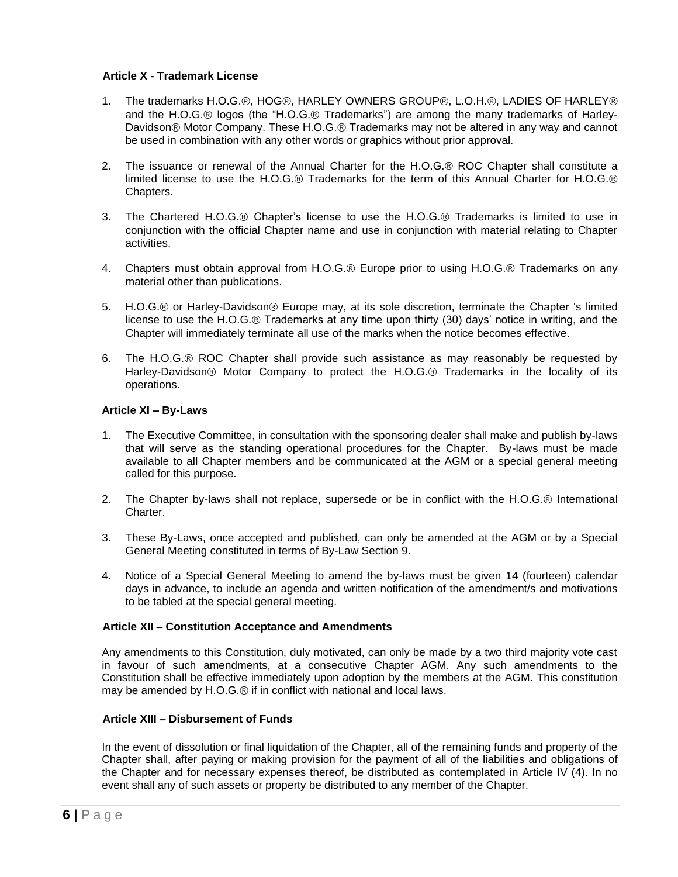# **Article X - Trademark License**

- 1. The trademarks H.O.G.®, HOG®, HARLEY OWNERS GROUP®, L.O.H.®, LADIES OF HARLEY® and the H.O.G.® logos (the "H.O.G.® Trademarks") are among the many trademarks of Harley-Davidson® Motor Company. These H.O.G.® Trademarks may not be altered in any way and cannot be used in combination with any other words or graphics without prior approval.
- 2. The issuance or renewal of the Annual Charter for the H.O.G.® ROC Chapter shall constitute a limited license to use the H.O.G.® Trademarks for the term of this Annual Charter for H.O.G.® Chapters.
- 3. The Chartered H.O.G.® Chapter's license to use the H.O.G.® Trademarks is limited to use in conjunction with the official Chapter name and use in conjunction with material relating to Chapter activities.
- 4. Chapters must obtain approval from H.O.G.® Europe prior to using H.O.G.® Trademarks on any material other than publications.
- 5. H.O.G.® or Harley-Davidson® Europe may, at its sole discretion, terminate the Chapter 's limited license to use the H.O.G.® Trademarks at any time upon thirty (30) days' notice in writing, and the Chapter will immediately terminate all use of the marks when the notice becomes effective.
- 6. The H.O.G.® ROC Chapter shall provide such assistance as may reasonably be requested by Harley-Davidson® Motor Company to protect the H.O.G.® Trademarks in the locality of its operations.

#### **Article XI – By-Laws**

- 1. The Executive Committee, in consultation with the sponsoring dealer shall make and publish by-laws that will serve as the standing operational procedures for the Chapter. By-laws must be made available to all Chapter members and be communicated at the AGM or a special general meeting called for this purpose.
- 2. The Chapter by-laws shall not replace, supersede or be in conflict with the H.O.G.® International Charter.
- 3. These By-Laws, once accepted and published, can only be amended at the AGM or by a Special General Meeting constituted in terms of By-Law Section 9.
- 4. Notice of a Special General Meeting to amend the by-laws must be given 14 (fourteen) calendar days in advance, to include an agenda and written notification of the amendment/s and motivations to be tabled at the special general meeting.

#### **Article XII – Constitution Acceptance and Amendments**

Any amendments to this Constitution, duly motivated, can only be made by a two third majority vote cast in favour of such amendments, at a consecutive Chapter AGM. Any such amendments to the Constitution shall be effective immediately upon adoption by the members at the AGM. This constitution may be amended by H.O.G.® if in conflict with national and local laws.

#### **Article XIII – Disbursement of Funds**

In the event of dissolution or final liquidation of the Chapter, all of the remaining funds and property of the Chapter shall, after paying or making provision for the payment of all of the liabilities and obligations of the Chapter and for necessary expenses thereof, be distributed as contemplated in Article IV (4). In no event shall any of such assets or property be distributed to any member of the Chapter.